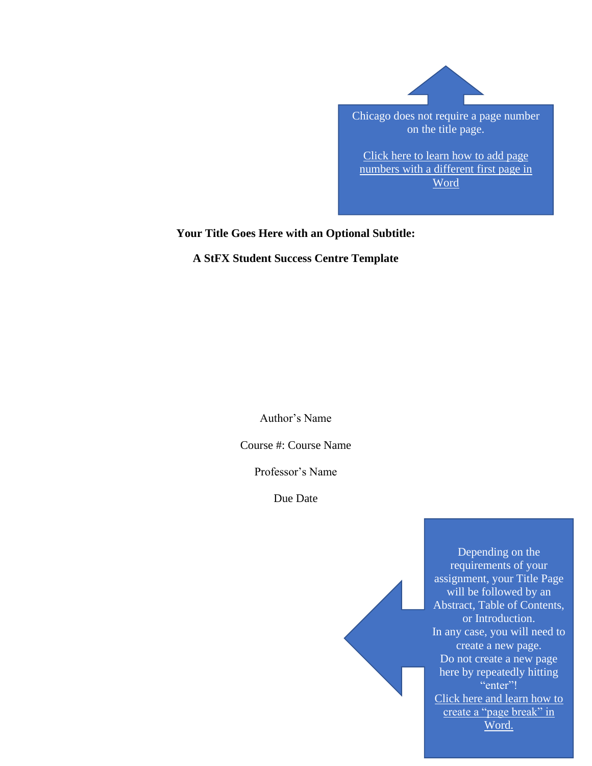

Chicago does not require a page number on the title page.

[Click here to learn how to add page](https://web.microsoftstream.com/video/057fe0d8-713f-41c1-87f5-9707a5a59401)  numbers with [a different first page in](https://web.microsoftstream.com/video/057fe0d8-713f-41c1-87f5-9707a5a59401)  [Word](https://web.microsoftstream.com/video/057fe0d8-713f-41c1-87f5-9707a5a59401)

**Your Title Goes Here with an Optional Subtitle:**

**A StFX Student Success Centre Template**

Author's Name

Course #: Course Name

Professor's Name

Due Date

Depending on the requirements of your assignment, your Title Page will be followed by an Abstract, Table of Contents, or Introduction. In any case, you will need to create a new page. Do not create a new page here by repeatedly hitting "enter"! [Click here and learn how to](https://youtu.be/9VsZdLWvLqY) create a "page break" in [Word.](https://youtu.be/9VsZdLWvLqY)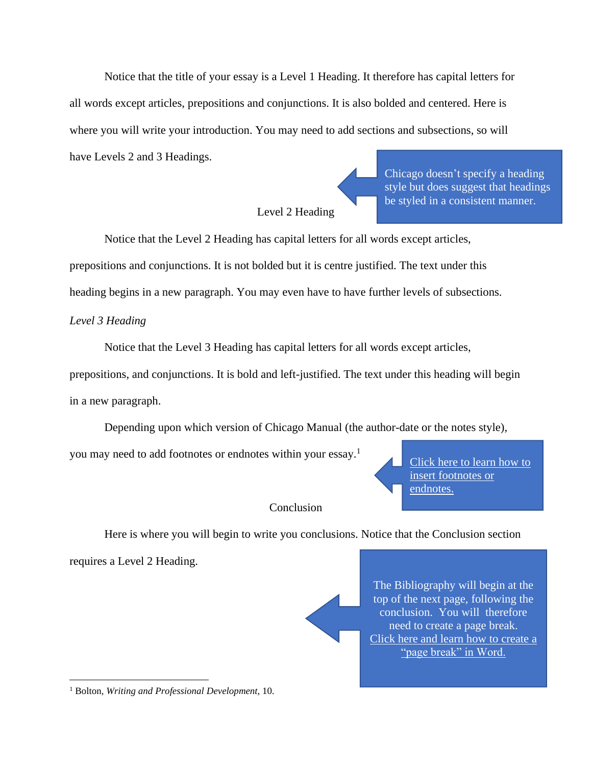Notice that the title of your essay is a Level 1 Heading. It therefore has capital letters for all words except articles, prepositions and conjunctions. It is also bolded and centered. Here is where you will write your introduction. You may need to add sections and subsections, so will have Levels 2 and 3 Headings.

## Level 2 Heading

Notice that the Level 2 Heading has capital letters for all words except articles,

prepositions and conjunctions. It is not bolded but it is centre justified. The text under this

heading begins in a new paragraph. You may even have to have further levels of subsections.

*Level 3 Heading*

Notice that the Level 3 Heading has capital letters for all words except articles, prepositions, and conjunctions. It is bold and left-justified. The text under this heading will begin in a new paragraph.

Depending upon which version of Chicago Manual (the author-date or the notes style),

you may need to add footnotes or endnotes within your essay.<sup>1</sup>

**Conclusion** 

Here is where you will begin to write you conclusions. Notice that the Conclusion section

requires a Level 2 Heading.

The Bibliography will begin at the top of the next page, following the conclusion. You will therefore need to create a page break. [Click here and learn how to create a](https://youtu.be/9VsZdLWvLqY)  ["page break" in Word.](https://youtu.be/9VsZdLWvLqY)

Click here [to learn how to](https://web.microsoftstream.com/video/744d800c-03af-4567-8ca5-2dfcaa54a52a) 

[insert footnotes](https://web.microsoftstream.com/video/744d800c-03af-4567-8ca5-2dfcaa54a52a) or

[endnotes.](https://web.microsoftstream.com/video/744d800c-03af-4567-8ca5-2dfcaa54a52a)

Chicago doesn't specify a heading style but does suggest that headings be styled in a consistent manner.

<sup>1</sup> Bolton, *Writing and Professional Development*, 10.